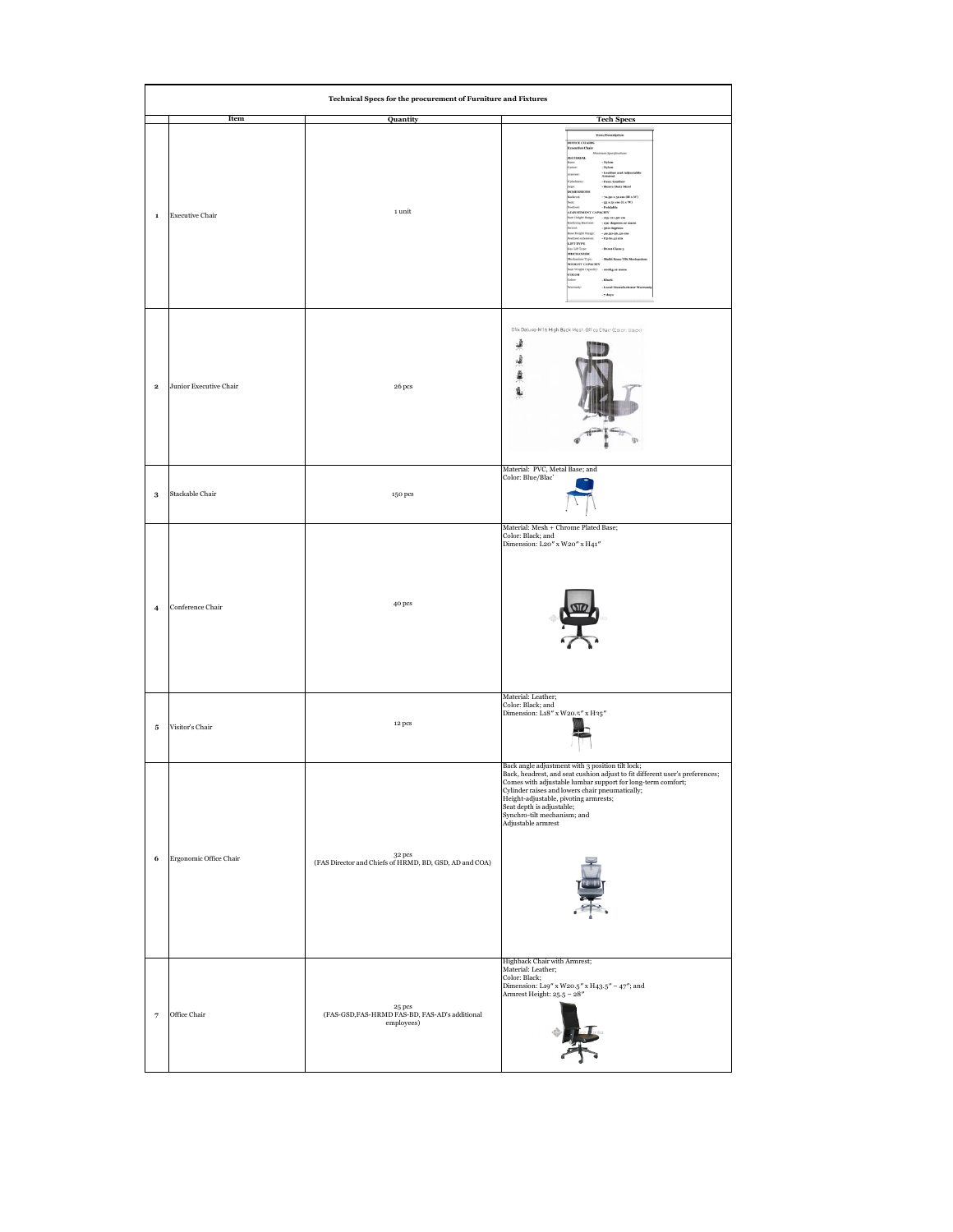| Technical Specs for the procurement of Furniture and Fixtures |                        |                                                                                        |                                                                                                                                                                                                                                                                                                                                                                                                                                                                             |  |  |
|---------------------------------------------------------------|------------------------|----------------------------------------------------------------------------------------|-----------------------------------------------------------------------------------------------------------------------------------------------------------------------------------------------------------------------------------------------------------------------------------------------------------------------------------------------------------------------------------------------------------------------------------------------------------------------------|--|--|
|                                                               | Item                   | <b>Quantity</b>                                                                        | <b>Tech Specs</b>                                                                                                                                                                                                                                                                                                                                                                                                                                                           |  |  |
| $\mathbf 1$                                                   | <b>Executive Chair</b> | $\scriptstyle\rm 1\,unit$                                                              | <b>Bem/Description</b><br><b>DEFICE CHAI</b><br>ntive Cl<br>MATERIAL<br>Faxes Les<br>70.50 x 51 cm (H x W)<br>- 53 x 51 cm (L x W)<br>- Foldable<br>crry<br>-------<br>sig-sai.go ce<br><b>Height F</b><br><b>Ening Ra</b><br>130 degrees<br>dead.<br>sto degre<br>ne Hielafst<br>LUFT TYPE<br>Jas Lift Typ<br>MECHANISM<br>WEIGHT CAPACITY<br>ut Weight C<br><b>NO.DC</b><br>Local<br>$.7$ days                                                                            |  |  |
| $\mathbf{2}$                                                  | Junior Executive Chair | $26\,\mathrm{pcs}$                                                                     | Dfix Deluxe-M16 High Back Mesh Office Chair (Color: Black)<br>奖<br>i thin<br>\$<br>å                                                                                                                                                                                                                                                                                                                                                                                        |  |  |
| $\bf{3}$                                                      | Stackable Chair        | 150 pcs                                                                                | Material: PVC, Metal Base; and<br>Color: Blue/Blac                                                                                                                                                                                                                                                                                                                                                                                                                          |  |  |
| $\overline{\mathbf{4}}$                                       | Conference Chair       | 40 pcs                                                                                 | Material: Mesh + Chrome Plated Base;<br>Color: Black; and<br>Dimension: L20" x W20" x H41"                                                                                                                                                                                                                                                                                                                                                                                  |  |  |
| 5                                                             | Visitor's Chair        | 12 pcs                                                                                 | Material: Leather;<br>Color: Black; and<br>Dimension: L18" x W20.5" x H35"                                                                                                                                                                                                                                                                                                                                                                                                  |  |  |
| 6                                                             | Ergonomic Office Chair | $$\,32\,\mathrm{pcs}$$ (FAS Director and Chiefs of HRMD, BD, GSD, AD and COA)          | Back angle adjustment with 3 position tilt lock;<br>Back, headrest, and seat cushion adjust to fit different user's preferences;<br>$\label{thm:main} \begin{minipage}[t]{0.9\linewidth} \textbf{Comes with adjustable lumbar support for long-term comfort;}\\ \textbf{Cylinder raises and lowers chair preumatically;}\\ \textbf{Height-adjustable, pivoting armrests;} \end{minipage}$<br>Seat depth is adjustable;<br>Synchro-tilt mechanism; and<br>Adjustable armrest |  |  |
| $\overline{\phantom{a}}$                                      | Office Chair           | $$\,25\,\mathrm{pcs}$$ (FAS-GSD,<br>FAS-HRMD FAS-BD, FAS-AD's additional<br>employees) | Highback Chair with Armrest;<br>Material: Leather;<br>Color: Black;<br>Dimension: L19" x W20.5" x H43.5" - 47"; and<br>Armrest Height: 25.5 - 28"                                                                                                                                                                                                                                                                                                                           |  |  |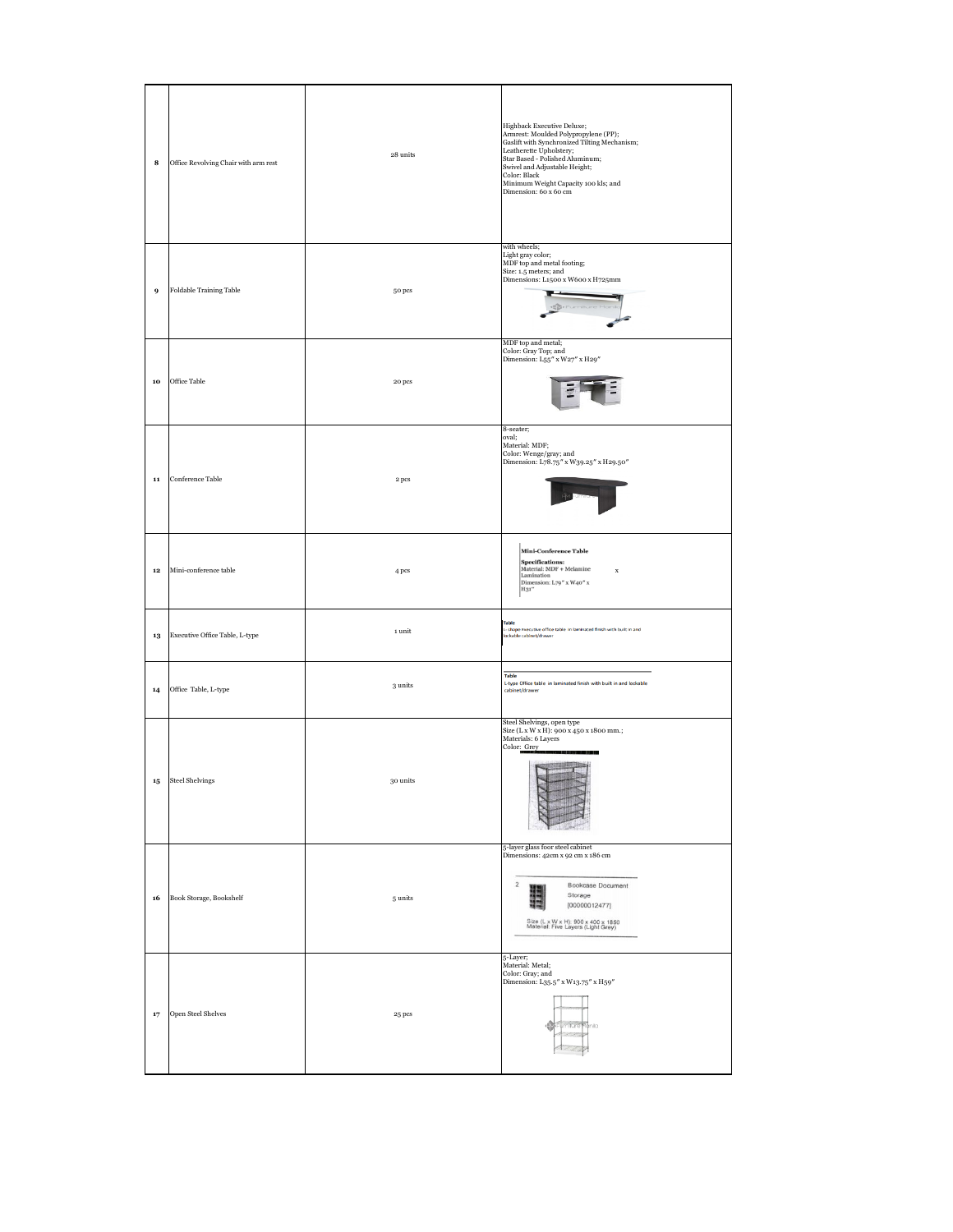| 8          | Office Revolving Chair with arm rest       | 28 units                  | Highback Executive Deluxe;<br>${\rm Armrest:}~{\rm Moulded}~{\rm Polypropylene}~({\rm PP});$ Gaslift with Synchronized Tilting Mechanism;<br>Leatherette Upholstery;<br>Star Based - Polished Aluminum;<br>Swivel and Adjustable Height;<br>Color: Black<br>Minimum Weight Capacity 100 kls; and<br>Dimension: 60 x 60 cm |
|------------|--------------------------------------------|---------------------------|---------------------------------------------------------------------------------------------------------------------------------------------------------------------------------------------------------------------------------------------------------------------------------------------------------------------------|
| 9          | Foldable Training Table                    | 50 pcs                    | with wheels;<br>Light gray color;<br>MDF top and metal footing;<br>Size: 1.5 meters; and<br>Dimensions: L1500 x W600 x H725mm                                                                                                                                                                                             |
| 10         | Office Table                               | $20\,\mathrm{pcs}$        | MDF top and metal;<br>Color: Gray Top; and<br>Dimension: L55" x W27" x H29"                                                                                                                                                                                                                                               |
| ${\bf 11}$ | Conference Table                           | 2 pcs                     | 8-seater;<br>oval;<br>Material: MDF;<br>Color: Wenge/gray; and<br>Dimension: L78.75" x W39.25" x H29.50"                                                                                                                                                                                                                  |
| $\bf{12}$  | Mini-conference table                      | 4 pcs                     | Mini-Conference Table<br>${\bf Specifications:} \\ {\bf Material: MDF+Melamine} \\ {\bf Lamination}$<br>$\mathbf x$<br>Dimension: L79" x W40" x<br>H31"                                                                                                                                                                   |
| 13         | Executive Office Table, L-type             | $\scriptstyle\rm 1\,unit$ | Table<br>- shape Executive office table in laminated finish with built in and<br>ockable cabinet/drawer                                                                                                                                                                                                                   |
| 14         | Office Table, L-type                       | 3 units                   | Table<br>L-type Office table in laminated finish with built in and lockable<br>cabinet/drawer                                                                                                                                                                                                                             |
|            | $\ensuremath{\textbf{15}}$ Steel Shelvings | $\rm{30\,units}$          | Steel Shelvings, open type<br>Size (L x W x H): 900 x 450 x 1800 mm.;<br>Materials: 6 Layers<br>Color: Grey                                                                                                                                                                                                               |
| 16         | Book Storage, Bookshelf                    | 5 units                   | 5-layer glass foor steel cabinet<br>Dimensions: 42cm x 92 cm x 186 cm<br>$\boldsymbol{2}$<br>Bookcase Document<br>Storage<br>[00000012477]<br>Size (L x W x H): 900 x 400 x 1850<br>Material: Five Layers (Light Grey)                                                                                                    |
| 17         | Open Steel Shelves                         | 25 pcs                    | 5-Layer;<br>Material: Metal;<br>Color: Gray; and<br>Dimension: L35.5" x W13.75" x H59"<br>imiture <sup>o</sup> rinila                                                                                                                                                                                                     |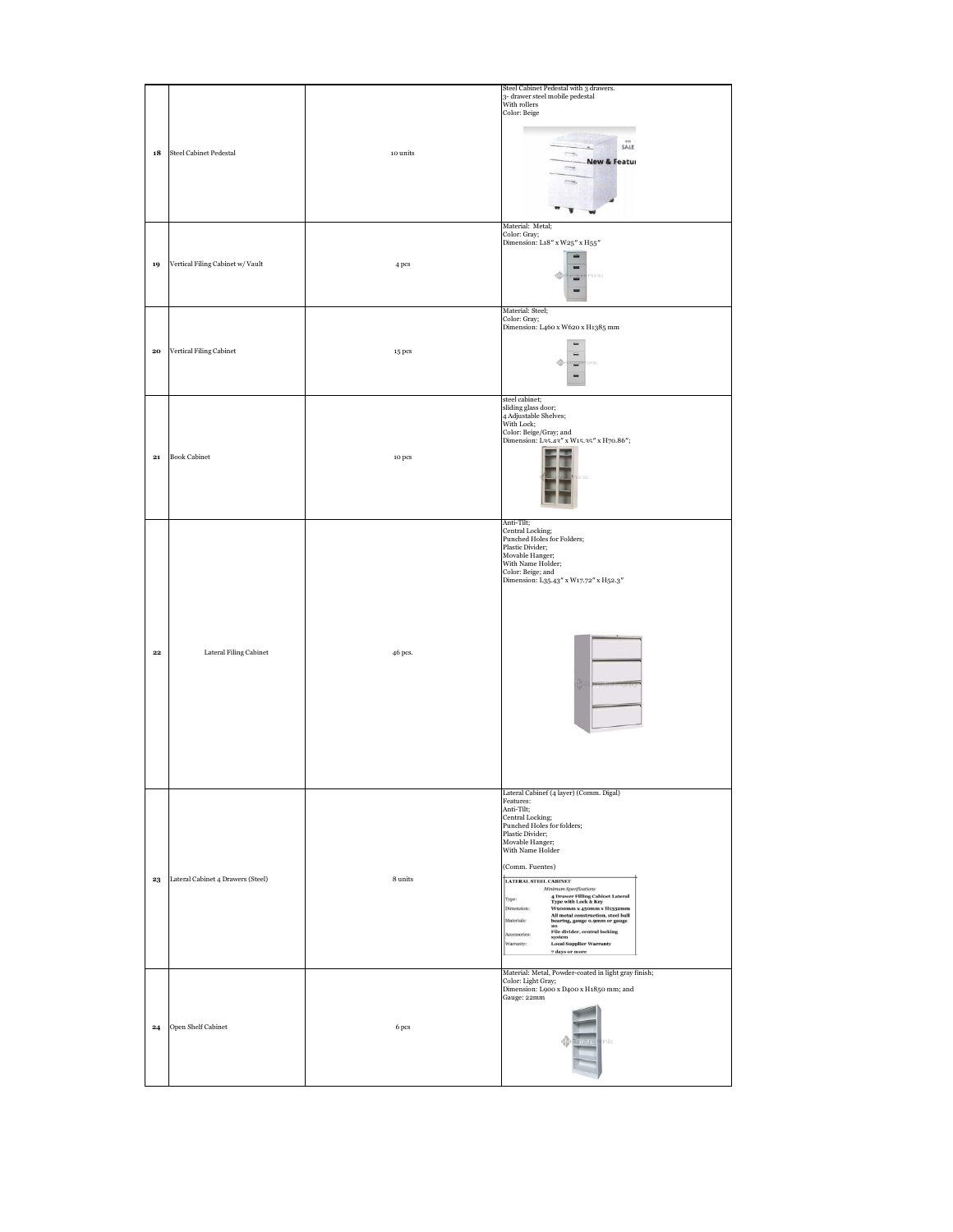| 18           | Steel Cabinet Pedestal            | 10 units | Steel Cabinet Pedestal with 3 drawers.<br>3- drawer steel mobile pedestal<br>With rollers<br>Color: Beige<br>on<br>SALE<br><b>New &amp; Featur</b>                                                                                                                                                                                                                                                                                                                                                                                                                                          |
|--------------|-----------------------------------|----------|---------------------------------------------------------------------------------------------------------------------------------------------------------------------------------------------------------------------------------------------------------------------------------------------------------------------------------------------------------------------------------------------------------------------------------------------------------------------------------------------------------------------------------------------------------------------------------------------|
| 19           | Vertical Filing Cabinet w/ Vault  | 4 pcs    | Material: Metal;<br>Color: Gray;<br>Dimension: L18" x W25" x H55"<br><b>t</b> onio<br>≔<br>▄                                                                                                                                                                                                                                                                                                                                                                                                                                                                                                |
| ${\bf 20}$   | Vertical Filing Cabinet           | 15 pcs   | Material: Steel;<br>Color: Gray;<br>Dimension: L460 x W620 x H1385 mm                                                                                                                                                                                                                                                                                                                                                                                                                                                                                                                       |
| $_{21}$      | <b>Book Cabinet</b>               | 10 pcs   | steel cabinet;<br>sliding glass door;<br>4 Adjustable Shelves;<br>With Lock;<br>Color: Beige/Gray; and<br>Dimension: L35.43" x W15.35" x H70.86";                                                                                                                                                                                                                                                                                                                                                                                                                                           |
| $\bf{22}$    | Lateral Filing Cabinet            | 46 pcs.  | Anti-Tilt;<br>Central Locking;<br>Punched Holes for Folders;<br>Plastic Divider;<br>Movable Hanger;<br>With Name Holder;<br>Color: Beige; and<br>Dimension: L35.43" x W17.72" x H52.3"                                                                                                                                                                                                                                                                                                                                                                                                      |
| $\bf{^{23}}$ | Lateral Cabinet 4 Drawers (Steel) | 8 units  | Lateral Cabinef (4 layer) (Comm. Digal)<br>Features:<br>Anti-Tilt;<br>Central Locking;<br>Punched Holes for folders;<br>Plastic Divider;<br>Movable Hanger;<br>With Name Holder<br>(Comm. Fuentes)<br>LATERAL STEEL CABINET<br>Minimum Specifications<br>4 Drawer Filling Cabinet Lateral<br>Type with Lock & Key<br>Type:<br>Dimension:<br>W900mm x 450mm x H1332mm<br>All metal construction, steel ball<br>bearing, gauge 0.9mm or gauge<br>Materials:<br>20<br>File divider, central locking<br>Accessories:<br>system<br><b>Local Supplier Warranty</b><br>Warranty:<br>7 days or more |
| $\bf{^{24}}$ | Open Shelf Cabinet                | 6 pcs    | Material: Metal, Powder-coated in light gray finish;<br>Color: Light Gray;<br>Dimension: L900 x D400 x H1850 mm; and<br>Gauge: 22mm<br>$\bigoplus$ unitro<br>minio                                                                                                                                                                                                                                                                                                                                                                                                                          |